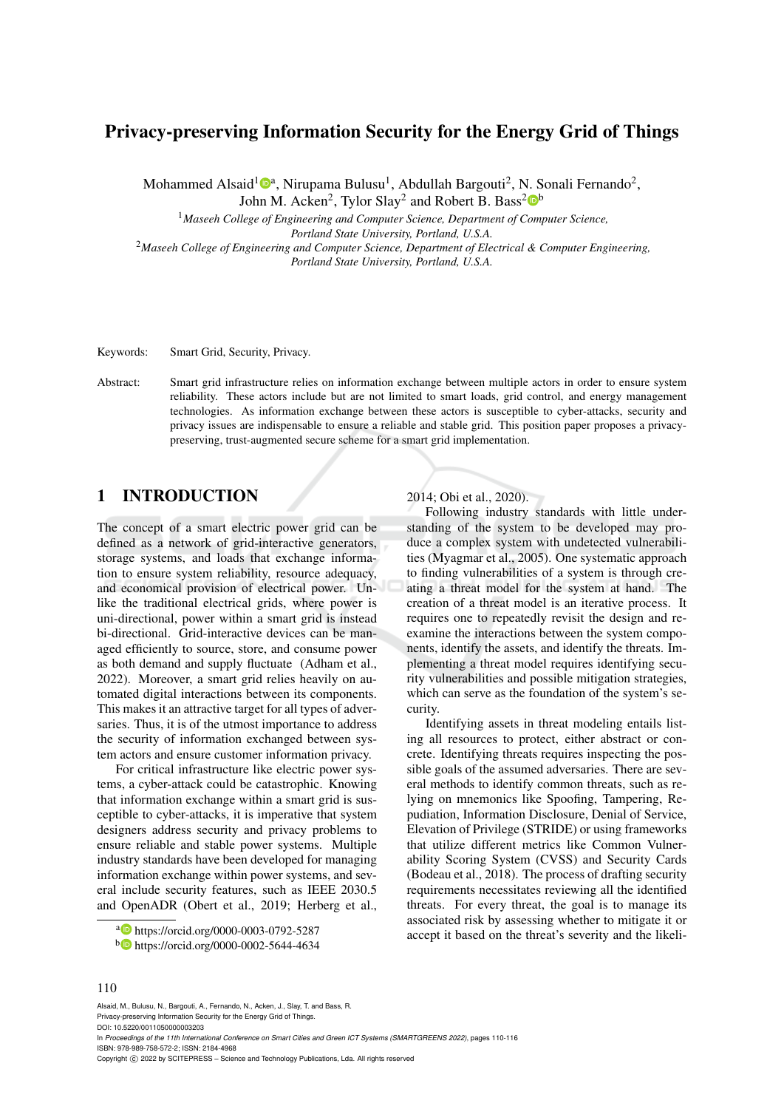# Privacy-preserving Information Security for the Energy Grid of Things

Mohammed Alsaid<sup>1</sup><sup>®a</sup>, Nirupama Bulusu<sup>1</sup>, Abdullah Bargouti<sup>2</sup>, N. Sonali Fernando<sup>2</sup>, John M. Acken<sup>2</sup>, Tylor Slay<sup>2</sup> and Robert B. Bass<sup>2</sup>

<sup>1</sup>*Maseeh College of Engineering and Computer Science, Department of Computer Science, Portland State University, Portland, U.S.A.*

<sup>2</sup>*Maseeh College of Engineering and Computer Science, Department of Electrical & Computer Engineering, Portland State University, Portland, U.S.A.*

Keywords: Smart Grid, Security, Privacy.

Abstract: Smart grid infrastructure relies on information exchange between multiple actors in order to ensure system reliability. These actors include but are not limited to smart loads, grid control, and energy management technologies. As information exchange between these actors is susceptible to cyber-attacks, security and privacy issues are indispensable to ensure a reliable and stable grid. This position paper proposes a privacypreserving, trust-augmented secure scheme for a smart grid implementation.

## 1 INTRODUCTION

The concept of a smart electric power grid can be defined as a network of grid-interactive generators, storage systems, and loads that exchange information to ensure system reliability, resource adequacy, and economical provision of electrical power. Unlike the traditional electrical grids, where power is uni-directional, power within a smart grid is instead bi-directional. Grid-interactive devices can be managed efficiently to source, store, and consume power as both demand and supply fluctuate (Adham et al., 2022). Moreover, a smart grid relies heavily on automated digital interactions between its components. This makes it an attractive target for all types of adversaries. Thus, it is of the utmost importance to address the security of information exchanged between system actors and ensure customer information privacy.

For critical infrastructure like electric power systems, a cyber-attack could be catastrophic. Knowing that information exchange within a smart grid is susceptible to cyber-attacks, it is imperative that system designers address security and privacy problems to ensure reliable and stable power systems. Multiple industry standards have been developed for managing information exchange within power systems, and several include security features, such as IEEE 2030.5 and OpenADR (Obert et al., 2019; Herberg et al.,

2014; Obi et al., 2020).

Following industry standards with little understanding of the system to be developed may produce a complex system with undetected vulnerabilities (Myagmar et al., 2005). One systematic approach to finding vulnerabilities of a system is through creating a threat model for the system at hand. The creation of a threat model is an iterative process. It requires one to repeatedly revisit the design and reexamine the interactions between the system components, identify the assets, and identify the threats. Implementing a threat model requires identifying security vulnerabilities and possible mitigation strategies, which can serve as the foundation of the system's security.

Identifying assets in threat modeling entails listing all resources to protect, either abstract or concrete. Identifying threats requires inspecting the possible goals of the assumed adversaries. There are several methods to identify common threats, such as relying on mnemonics like Spoofing, Tampering, Repudiation, Information Disclosure, Denial of Service, Elevation of Privilege (STRIDE) or using frameworks that utilize different metrics like Common Vulnerability Scoring System (CVSS) and Security Cards (Bodeau et al., 2018). The process of drafting security requirements necessitates reviewing all the identified threats. For every threat, the goal is to manage its associated risk by assessing whether to mitigate it or accept it based on the threat's severity and the likeli-

<sup>b</sup> https://orcid.org/0000-0002-5644-4634

#### 110

Alsaid, M., Bulusu, N., Bargouti, A., Fernando, N., Acken, J., Slay, T. and Bass, R. Privacy-preserving Information Security for the Energy Grid of Things. DOI: 10.5220/0011050000003203

a **b** https://orcid.org/0000-0003-0792-5287

In *Proceedings of the 11th International Conference on Smart Cities and Green ICT Systems (SMARTGREENS 2022)*, pages 110-116 ISBN: 978-989-758-572-2; ISSN: 2184-4968

Copyright © 2022 by SCITEPRESS - Science and Technology Publications, Lda. All rights reserved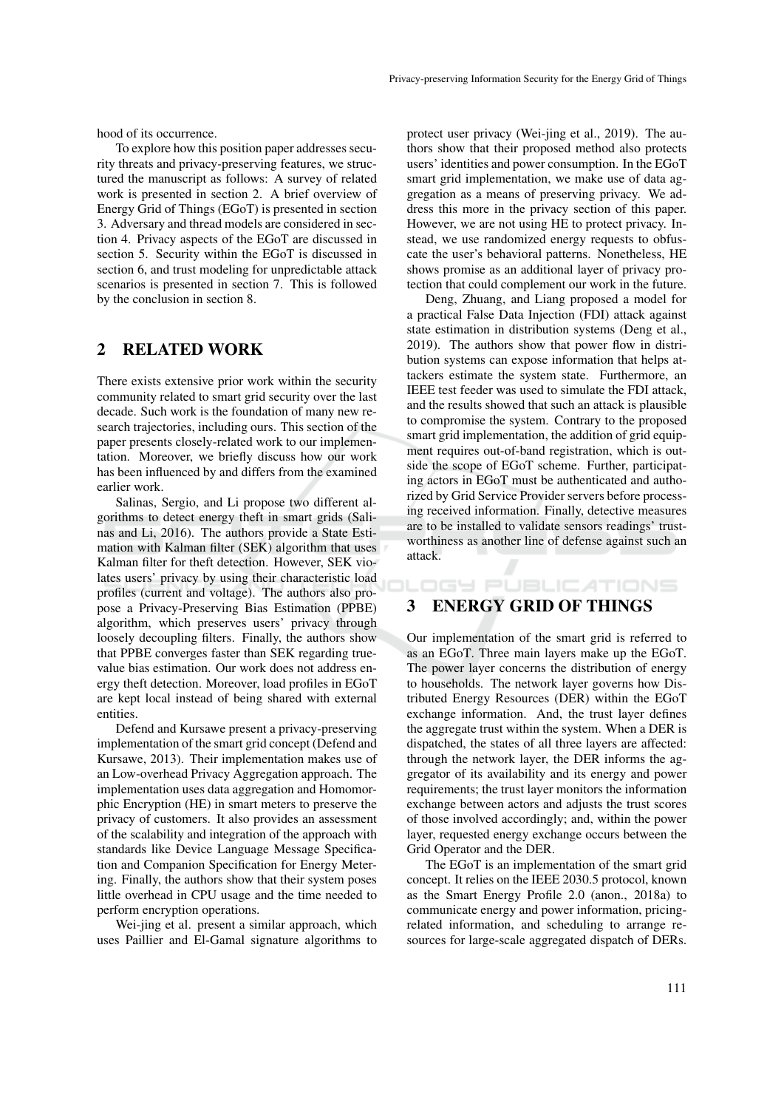hood of its occurrence.

To explore how this position paper addresses security threats and privacy-preserving features, we structured the manuscript as follows: A survey of related work is presented in section 2. A brief overview of Energy Grid of Things (EGoT) is presented in section 3. Adversary and thread models are considered in section 4. Privacy aspects of the EGoT are discussed in section 5. Security within the EGoT is discussed in section 6, and trust modeling for unpredictable attack scenarios is presented in section 7. This is followed by the conclusion in section 8.

## 2 RELATED WORK

There exists extensive prior work within the security community related to smart grid security over the last decade. Such work is the foundation of many new research trajectories, including ours. This section of the paper presents closely-related work to our implementation. Moreover, we briefly discuss how our work has been influenced by and differs from the examined earlier work.

Salinas, Sergio, and Li propose two different algorithms to detect energy theft in smart grids (Salinas and Li, 2016). The authors provide a State Estimation with Kalman filter (SEK) algorithm that uses Kalman filter for theft detection. However, SEK violates users' privacy by using their characteristic load profiles (current and voltage). The authors also propose a Privacy-Preserving Bias Estimation (PPBE) algorithm, which preserves users' privacy through loosely decoupling filters. Finally, the authors show that PPBE converges faster than SEK regarding truevalue bias estimation. Our work does not address energy theft detection. Moreover, load profiles in EGoT are kept local instead of being shared with external entities.

Defend and Kursawe present a privacy-preserving implementation of the smart grid concept (Defend and Kursawe, 2013). Their implementation makes use of an Low-overhead Privacy Aggregation approach. The implementation uses data aggregation and Homomorphic Encryption (HE) in smart meters to preserve the privacy of customers. It also provides an assessment of the scalability and integration of the approach with standards like Device Language Message Specification and Companion Specification for Energy Metering. Finally, the authors show that their system poses little overhead in CPU usage and the time needed to perform encryption operations.

Wei-jing et al. present a similar approach, which uses Paillier and El-Gamal signature algorithms to

protect user privacy (Wei-jing et al., 2019). The authors show that their proposed method also protects users' identities and power consumption. In the EGoT smart grid implementation, we make use of data aggregation as a means of preserving privacy. We address this more in the privacy section of this paper. However, we are not using HE to protect privacy. Instead, we use randomized energy requests to obfuscate the user's behavioral patterns. Nonetheless, HE shows promise as an additional layer of privacy protection that could complement our work in the future.

Deng, Zhuang, and Liang proposed a model for a practical False Data Injection (FDI) attack against state estimation in distribution systems (Deng et al., 2019). The authors show that power flow in distribution systems can expose information that helps attackers estimate the system state. Furthermore, an IEEE test feeder was used to simulate the FDI attack, and the results showed that such an attack is plausible to compromise the system. Contrary to the proposed smart grid implementation, the addition of grid equipment requires out-of-band registration, which is outside the scope of EGoT scheme. Further, participating actors in EGoT must be authenticated and authorized by Grid Service Provider servers before processing received information. Finally, detective measures are to be installed to validate sensors readings' trustworthiness as another line of defense against such an attack.

#### 3 ENERGY GRID OF THINGS

**DGY PUBLICATIONS** 

Our implementation of the smart grid is referred to as an EGoT. Three main layers make up the EGoT. The power layer concerns the distribution of energy to households. The network layer governs how Distributed Energy Resources (DER) within the EGoT exchange information. And, the trust layer defines the aggregate trust within the system. When a DER is dispatched, the states of all three layers are affected: through the network layer, the DER informs the aggregator of its availability and its energy and power requirements; the trust layer monitors the information exchange between actors and adjusts the trust scores of those involved accordingly; and, within the power layer, requested energy exchange occurs between the Grid Operator and the DER.

The EGoT is an implementation of the smart grid concept. It relies on the IEEE 2030.5 protocol, known as the Smart Energy Profile 2.0 (anon., 2018a) to communicate energy and power information, pricingrelated information, and scheduling to arrange resources for large-scale aggregated dispatch of DERs.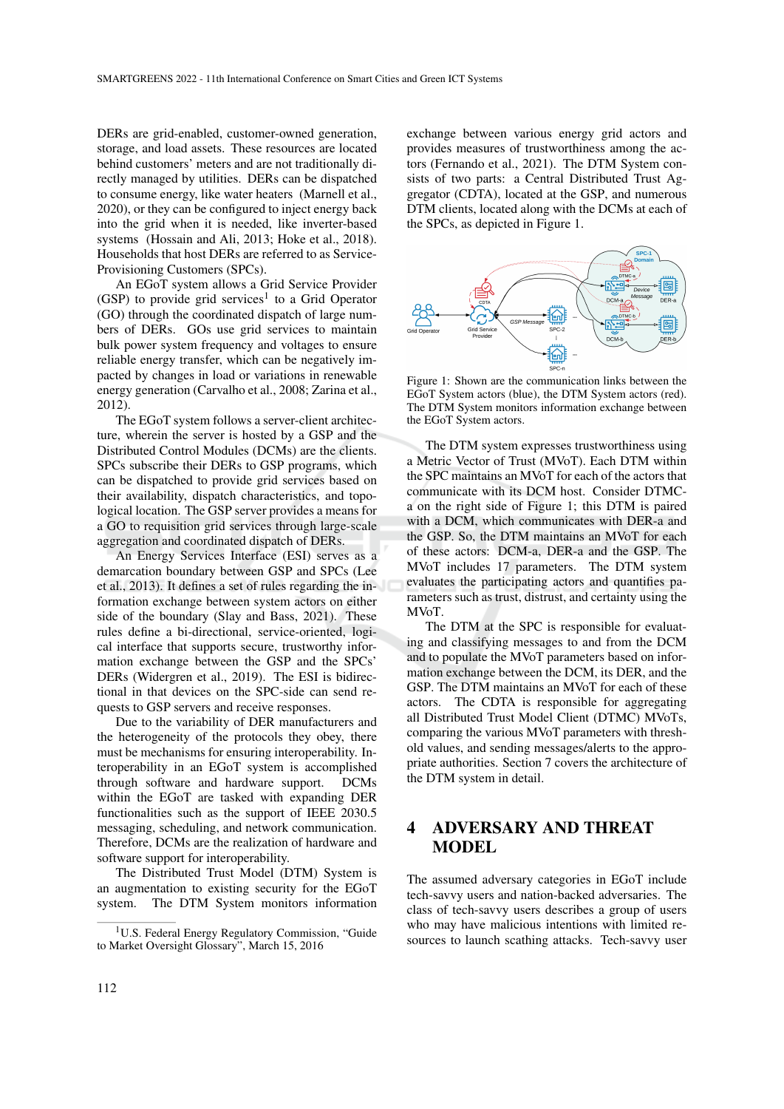DERs are grid-enabled, customer-owned generation, storage, and load assets. These resources are located behind customers' meters and are not traditionally directly managed by utilities. DERs can be dispatched to consume energy, like water heaters (Marnell et al., 2020), or they can be configured to inject energy back into the grid when it is needed, like inverter-based systems (Hossain and Ali, 2013; Hoke et al., 2018). Households that host DERs are referred to as Service-Provisioning Customers (SPCs).

An EGoT system allows a Grid Service Provider (GSP) to provide grid services<sup>1</sup> to a Grid Operator (GO) through the coordinated dispatch of large numbers of DERs. GOs use grid services to maintain bulk power system frequency and voltages to ensure reliable energy transfer, which can be negatively impacted by changes in load or variations in renewable energy generation (Carvalho et al., 2008; Zarina et al., 2012).

The EGoT system follows a server-client architecture, wherein the server is hosted by a GSP and the Distributed Control Modules (DCMs) are the clients. SPCs subscribe their DERs to GSP programs, which can be dispatched to provide grid services based on their availability, dispatch characteristics, and topological location. The GSP server provides a means for a GO to requisition grid services through large-scale aggregation and coordinated dispatch of DERs.

An Energy Services Interface (ESI) serves as a demarcation boundary between GSP and SPCs (Lee et al., 2013). It defines a set of rules regarding the information exchange between system actors on either side of the boundary (Slay and Bass, 2021). These rules define a bi-directional, service-oriented, logical interface that supports secure, trustworthy information exchange between the GSP and the SPCs' DERs (Widergren et al., 2019). The ESI is bidirectional in that devices on the SPC-side can send requests to GSP servers and receive responses.

Due to the variability of DER manufacturers and the heterogeneity of the protocols they obey, there must be mechanisms for ensuring interoperability. Interoperability in an EGoT system is accomplished through software and hardware support. DCMs within the EGoT are tasked with expanding DER functionalities such as the support of IEEE 2030.5 messaging, scheduling, and network communication. Therefore, DCMs are the realization of hardware and software support for interoperability.

The Distributed Trust Model (DTM) System is an augmentation to existing security for the EGoT system. The DTM System monitors information

exchange between various energy grid actors and provides measures of trustworthiness among the actors (Fernando et al., 2021). The DTM System consists of two parts: a Central Distributed Trust Aggregator (CDTA), located at the GSP, and numerous DTM clients, located along with the DCMs at each of the SPCs, as depicted in Figure 1.



Figure 1: Shown are the communication links between the EGoT System actors (blue), the DTM System actors (red). The DTM System monitors information exchange between the EGoT System actors.

The DTM system expresses trustworthiness using a Metric Vector of Trust (MVoT). Each DTM within the SPC maintains an MVoT for each of the actors that communicate with its DCM host. Consider DTMCa on the right side of Figure 1; this DTM is paired with a DCM, which communicates with DER-a and the GSP. So, the DTM maintains an MVoT for each of these actors: DCM-a, DER-a and the GSP. The MVoT includes 17 parameters. The DTM system evaluates the participating actors and quantifies parameters such as trust, distrust, and certainty using the MVoT.

The DTM at the SPC is responsible for evaluating and classifying messages to and from the DCM and to populate the MVoT parameters based on information exchange between the DCM, its DER, and the GSP. The DTM maintains an MVoT for each of these actors. The CDTA is responsible for aggregating all Distributed Trust Model Client (DTMC) MVoTs, comparing the various MVoT parameters with threshold values, and sending messages/alerts to the appropriate authorities. Section 7 covers the architecture of the DTM system in detail.

## 4 ADVERSARY AND THREAT MODEL

The assumed adversary categories in EGoT include tech-savvy users and nation-backed adversaries. The class of tech-savvy users describes a group of users who may have malicious intentions with limited resources to launch scathing attacks. Tech-savvy user

<sup>&</sup>lt;sup>1</sup>U.S. Federal Energy Regulatory Commission, "Guide to Market Oversight Glossary", March 15, 2016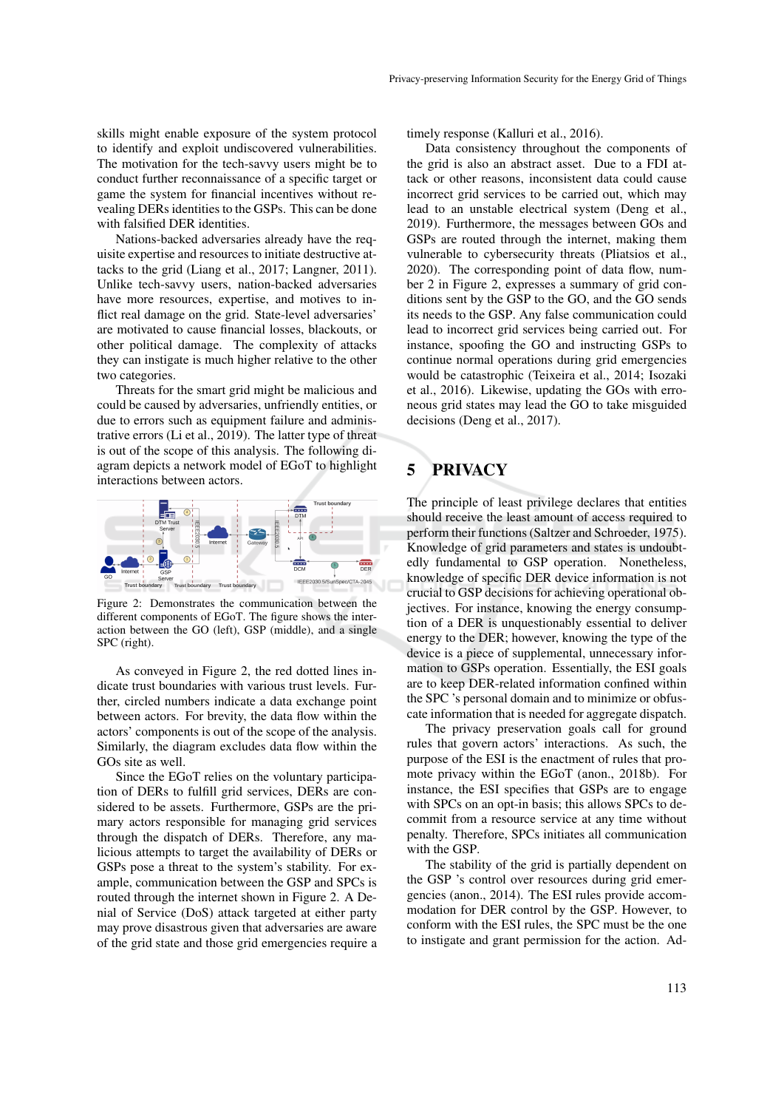skills might enable exposure of the system protocol to identify and exploit undiscovered vulnerabilities. The motivation for the tech-savvy users might be to conduct further reconnaissance of a specific target or game the system for financial incentives without revealing DERs identities to the GSPs. This can be done with falsified DER identities.

Nations-backed adversaries already have the requisite expertise and resources to initiate destructive attacks to the grid (Liang et al., 2017; Langner, 2011). Unlike tech-savvy users, nation-backed adversaries have more resources, expertise, and motives to inflict real damage on the grid. State-level adversaries' are motivated to cause financial losses, blackouts, or other political damage. The complexity of attacks they can instigate is much higher relative to the other two categories.

Threats for the smart grid might be malicious and could be caused by adversaries, unfriendly entities, or due to errors such as equipment failure and administrative errors (Li et al., 2019). The latter type of threat is out of the scope of this analysis. The following diagram depicts a network model of EGoT to highlight interactions between actors.



Figure 2: Demonstrates the communication between the different components of EGoT. The figure shows the interaction between the GO (left), GSP (middle), and a single SPC (right).

As conveyed in Figure 2, the red dotted lines indicate trust boundaries with various trust levels. Further, circled numbers indicate a data exchange point between actors. For brevity, the data flow within the actors' components is out of the scope of the analysis. Similarly, the diagram excludes data flow within the GOs site as well.

Since the EGoT relies on the voluntary participation of DERs to fulfill grid services, DERs are considered to be assets. Furthermore, GSPs are the primary actors responsible for managing grid services through the dispatch of DERs. Therefore, any malicious attempts to target the availability of DERs or GSPs pose a threat to the system's stability. For example, communication between the GSP and SPCs is routed through the internet shown in Figure 2. A Denial of Service (DoS) attack targeted at either party may prove disastrous given that adversaries are aware of the grid state and those grid emergencies require a timely response (Kalluri et al., 2016).

Data consistency throughout the components of the grid is also an abstract asset. Due to a FDI attack or other reasons, inconsistent data could cause incorrect grid services to be carried out, which may lead to an unstable electrical system (Deng et al., 2019). Furthermore, the messages between GOs and GSPs are routed through the internet, making them vulnerable to cybersecurity threats (Pliatsios et al., 2020). The corresponding point of data flow, number 2 in Figure 2, expresses a summary of grid conditions sent by the GSP to the GO, and the GO sends its needs to the GSP. Any false communication could lead to incorrect grid services being carried out. For instance, spoofing the GO and instructing GSPs to continue normal operations during grid emergencies would be catastrophic (Teixeira et al., 2014; Isozaki et al., 2016). Likewise, updating the GOs with erroneous grid states may lead the GO to take misguided decisions (Deng et al., 2017).

# 5 PRIVACY

The principle of least privilege declares that entities should receive the least amount of access required to perform their functions (Saltzer and Schroeder, 1975). Knowledge of grid parameters and states is undoubtedly fundamental to GSP operation. Nonetheless, knowledge of specific DER device information is not crucial to GSP decisions for achieving operational objectives. For instance, knowing the energy consumption of a DER is unquestionably essential to deliver energy to the DER; however, knowing the type of the device is a piece of supplemental, unnecessary information to GSPs operation. Essentially, the ESI goals are to keep DER-related information confined within the SPC 's personal domain and to minimize or obfuscate information that is needed for aggregate dispatch.

The privacy preservation goals call for ground rules that govern actors' interactions. As such, the purpose of the ESI is the enactment of rules that promote privacy within the EGoT (anon., 2018b). For instance, the ESI specifies that GSPs are to engage with SPCs on an opt-in basis; this allows SPCs to decommit from a resource service at any time without penalty. Therefore, SPCs initiates all communication with the GSP.

The stability of the grid is partially dependent on the GSP 's control over resources during grid emergencies (anon., 2014). The ESI rules provide accommodation for DER control by the GSP. However, to conform with the ESI rules, the SPC must be the one to instigate and grant permission for the action. Ad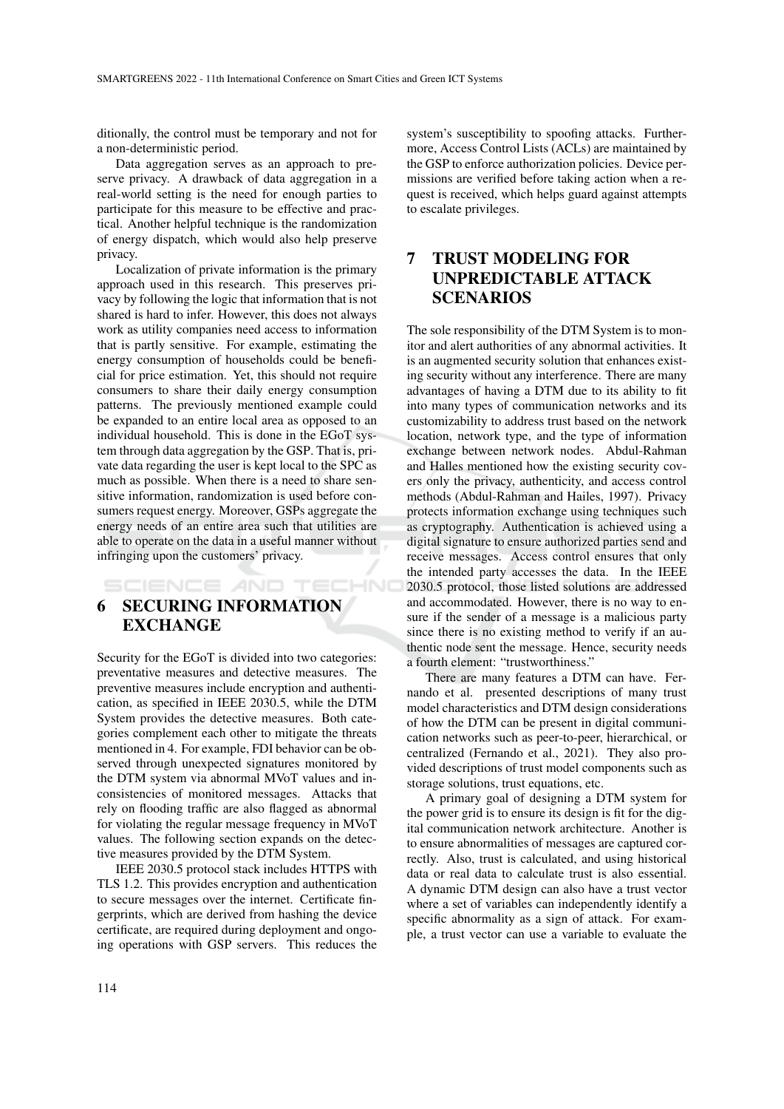ditionally, the control must be temporary and not for a non-deterministic period.

Data aggregation serves as an approach to preserve privacy. A drawback of data aggregation in a real-world setting is the need for enough parties to participate for this measure to be effective and practical. Another helpful technique is the randomization of energy dispatch, which would also help preserve privacy.

Localization of private information is the primary approach used in this research. This preserves privacy by following the logic that information that is not shared is hard to infer. However, this does not always work as utility companies need access to information that is partly sensitive. For example, estimating the energy consumption of households could be beneficial for price estimation. Yet, this should not require consumers to share their daily energy consumption patterns. The previously mentioned example could be expanded to an entire local area as opposed to an individual household. This is done in the EGoT system through data aggregation by the GSP. That is, private data regarding the user is kept local to the SPC as much as possible. When there is a need to share sensitive information, randomization is used before consumers request energy. Moreover, GSPs aggregate the energy needs of an entire area such that utilities are able to operate on the data in a useful manner without infringing upon the customers' privacy.

SCIENCE AND TECHNO

6 SECURING INFORMATION **EXCHANGE** 

Security for the EGoT is divided into two categories: preventative measures and detective measures. The preventive measures include encryption and authentication, as specified in IEEE 2030.5, while the DTM System provides the detective measures. Both categories complement each other to mitigate the threats mentioned in 4. For example, FDI behavior can be observed through unexpected signatures monitored by the DTM system via abnormal MVoT values and inconsistencies of monitored messages. Attacks that rely on flooding traffic are also flagged as abnormal for violating the regular message frequency in MVoT values. The following section expands on the detective measures provided by the DTM System.

IEEE 2030.5 protocol stack includes HTTPS with TLS 1.2. This provides encryption and authentication to secure messages over the internet. Certificate fingerprints, which are derived from hashing the device certificate, are required during deployment and ongoing operations with GSP servers. This reduces the

system's susceptibility to spoofing attacks. Furthermore, Access Control Lists (ACLs) are maintained by the GSP to enforce authorization policies. Device permissions are verified before taking action when a request is received, which helps guard against attempts to escalate privileges.

# 7 TRUST MODELING FOR UNPREDICTABLE ATTACK SCENARIOS

The sole responsibility of the DTM System is to monitor and alert authorities of any abnormal activities. It is an augmented security solution that enhances existing security without any interference. There are many advantages of having a DTM due to its ability to fit into many types of communication networks and its customizability to address trust based on the network location, network type, and the type of information exchange between network nodes. Abdul-Rahman and Halles mentioned how the existing security covers only the privacy, authenticity, and access control methods (Abdul-Rahman and Hailes, 1997). Privacy protects information exchange using techniques such as cryptography. Authentication is achieved using a digital signature to ensure authorized parties send and receive messages. Access control ensures that only the intended party accesses the data. In the IEEE 2030.5 protocol, those listed solutions are addressed and accommodated. However, there is no way to ensure if the sender of a message is a malicious party since there is no existing method to verify if an authentic node sent the message. Hence, security needs a fourth element: "trustworthiness."

There are many features a DTM can have. Fernando et al. presented descriptions of many trust model characteristics and DTM design considerations of how the DTM can be present in digital communication networks such as peer-to-peer, hierarchical, or centralized (Fernando et al., 2021). They also provided descriptions of trust model components such as storage solutions, trust equations, etc.

A primary goal of designing a DTM system for the power grid is to ensure its design is fit for the digital communication network architecture. Another is to ensure abnormalities of messages are captured correctly. Also, trust is calculated, and using historical data or real data to calculate trust is also essential. A dynamic DTM design can also have a trust vector where a set of variables can independently identify a specific abnormality as a sign of attack. For example, a trust vector can use a variable to evaluate the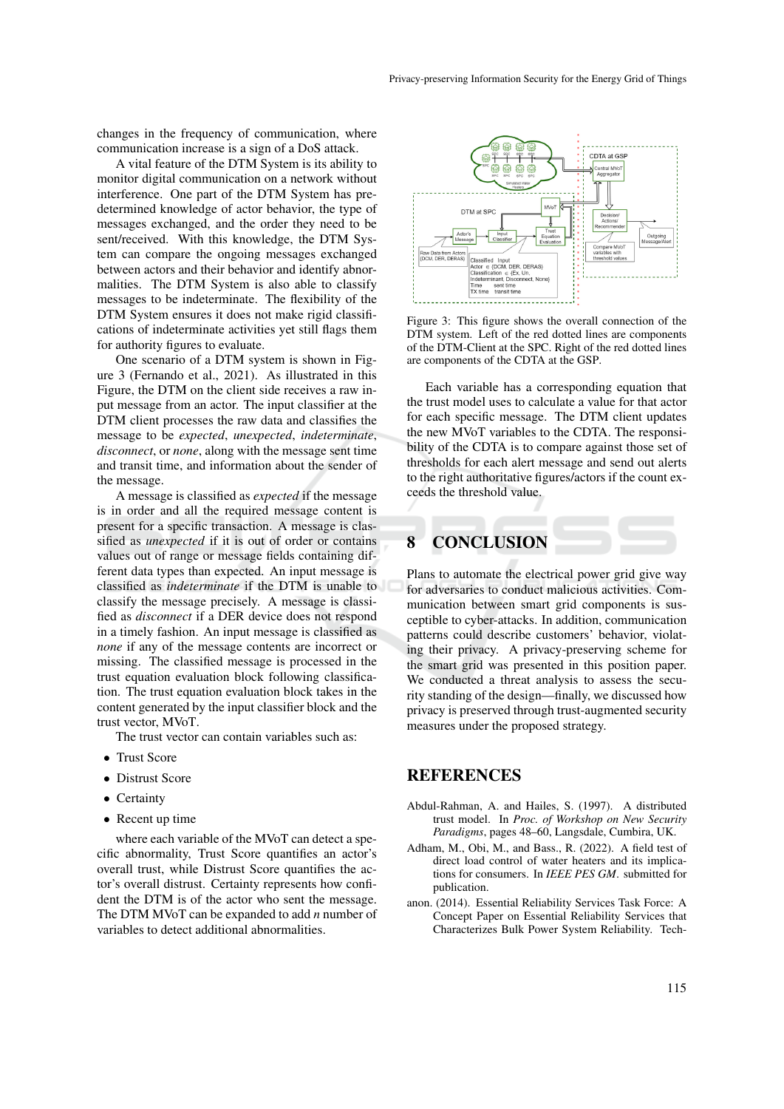changes in the frequency of communication, where communication increase is a sign of a DoS attack.

A vital feature of the DTM System is its ability to monitor digital communication on a network without interference. One part of the DTM System has predetermined knowledge of actor behavior, the type of messages exchanged, and the order they need to be sent/received. With this knowledge, the DTM System can compare the ongoing messages exchanged between actors and their behavior and identify abnormalities. The DTM System is also able to classify messages to be indeterminate. The flexibility of the DTM System ensures it does not make rigid classifications of indeterminate activities yet still flags them for authority figures to evaluate.

One scenario of a DTM system is shown in Figure 3 (Fernando et al., 2021). As illustrated in this Figure, the DTM on the client side receives a raw input message from an actor. The input classifier at the DTM client processes the raw data and classifies the message to be *expected*, *unexpected*, *indeterminate*, *disconnect*, or *none*, along with the message sent time and transit time, and information about the sender of the message.

A message is classified as *expected* if the message is in order and all the required message content is present for a specific transaction. A message is classified as *unexpected* if it is out of order or contains values out of range or message fields containing different data types than expected. An input message is classified as *indeterminate* if the DTM is unable to classify the message precisely. A message is classified as *disconnect* if a DER device does not respond in a timely fashion. An input message is classified as *none* if any of the message contents are incorrect or missing. The classified message is processed in the trust equation evaluation block following classification. The trust equation evaluation block takes in the content generated by the input classifier block and the trust vector, MVoT.

The trust vector can contain variables such as:

- Trust Score
- Distrust Score
- Certainty
- Recent up time

where each variable of the MVoT can detect a specific abnormality, Trust Score quantifies an actor's overall trust, while Distrust Score quantifies the actor's overall distrust. Certainty represents how confident the DTM is of the actor who sent the message. The DTM MVoT can be expanded to add *n* number of variables to detect additional abnormalities.



Figure 3: This figure shows the overall connection of the DTM system. Left of the red dotted lines are components of the DTM-Client at the SPC. Right of the red dotted lines are components of the CDTA at the GSP.

Each variable has a corresponding equation that the trust model uses to calculate a value for that actor for each specific message. The DTM client updates the new MVoT variables to the CDTA. The responsibility of the CDTA is to compare against those set of thresholds for each alert message and send out alerts to the right authoritative figures/actors if the count exceeds the threshold value.

# 8 CONCLUSION

Plans to automate the electrical power grid give way for adversaries to conduct malicious activities. Communication between smart grid components is susceptible to cyber-attacks. In addition, communication patterns could describe customers' behavior, violating their privacy. A privacy-preserving scheme for the smart grid was presented in this position paper. We conducted a threat analysis to assess the security standing of the design—finally, we discussed how privacy is preserved through trust-augmented security measures under the proposed strategy.

### **REFERENCES**

- Abdul-Rahman, A. and Hailes, S. (1997). A distributed trust model. In *Proc. of Workshop on New Security Paradigms*, pages 48–60, Langsdale, Cumbira, UK.
- Adham, M., Obi, M., and Bass., R. (2022). A field test of direct load control of water heaters and its implications for consumers. In *IEEE PES GM*. submitted for publication.
- anon. (2014). Essential Reliability Services Task Force: A Concept Paper on Essential Reliability Services that Characterizes Bulk Power System Reliability. Tech-